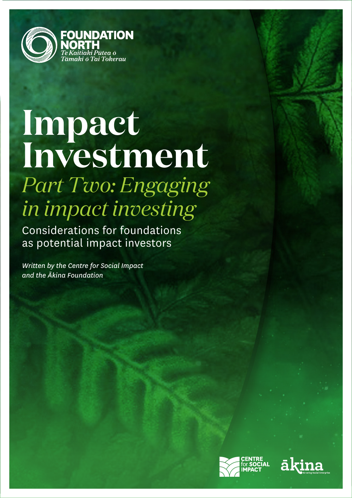

# **Impact Investment** *Part Two: Engaging in impact investing*

Considerations for foundations as potential impact investors

*Written by the Centre for Social Impact and the Ākina Foundation*



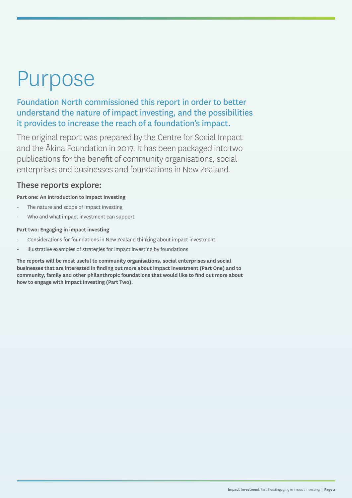# Purpose

Foundation North commissioned this report in order to better understand the nature of impact investing, and the possibilities it provides to increase the reach of a foundation's impact.

The original report was prepared by the Centre for Social Impact and the Ākina Foundation in 2017. It has been packaged into two publications for the benefit of community organisations, social enterprises and businesses and foundations in New Zealand.

### These reports explore:

**Part one: An introduction to impact investing**

- The nature and scope of impact investing
- Who and what impact investment can support

#### **Part two: Engaging in impact investing**

- Considerations for foundations in New Zealand thinking about impact investment
- Illustrative examples of strategies for impact investing by foundations

**The reports will be most useful to community organisations, social enterprises and social businesses that are interested in finding out more about impact investment (Part One) and to community, family and other philanthropic foundations that would like to find out more about how to engage with impact investing (Part Two).**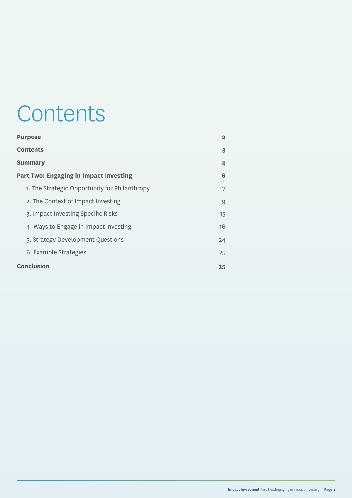# **Contents**

| <b>Purpose</b>                                | $\mathbf{2}$            |
|-----------------------------------------------|-------------------------|
| <b>Contents</b>                               | 3                       |
| <b>Summary</b>                                | $\overline{\mathbf{4}}$ |
| <b>Part Two: Engaging in Impact Investing</b> | 6                       |
| 1. The Strategic Opportunity for Philanthropy | 7                       |
| 2. The Context of Impact Investing            | 9                       |
| 3. Impact Investing Specific Risks            | 15                      |
| 4. Ways to Engage in Impact Investing         | 16                      |
| 5. Strategy Development Questions             | 24                      |
| 6. Example Strategies                         | 25                      |
| <b>Conclusion</b>                             | 35                      |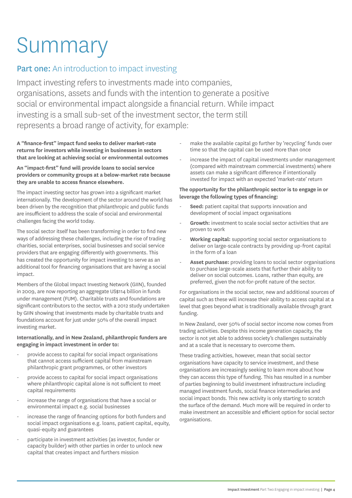# Summary

# **Part one:** An introduction to impact investing

Impact investing refers to investments made into companies, organisations, assets and funds with the intention to generate a positive social or environmental impact alongside a financial return. While impact investing is a small sub-set of the investment sector, the term still represents a broad range of activity, for example:

**A "finance-first" impact fund seeks to deliver market-rate returns for investors while investing in businesses in sectors that are looking at achieving social or environmental outcomes**

#### **An "impact-first" fund will provide loans to social service providers or community groups at a below-market rate because they are unable to access finance elsewhere.**

The impact investing sector has grown into a significant market internationally. The development of the sector around the world has been driven by the recognition that philanthropic and public funds are insufficient to address the scale of social and environmental challenges facing the world today.

The social sector itself has been transforming in order to find new ways of addressing these challenges, including the rise of trading charities, social enterprises, social businesses and social service providers that are engaging differently with governments. This has created the opportunity for impact investing to serve as an additional tool for financing organisations that are having a social impact.

Members of the Global Impact Investing Network (GIIN), founded in 2009, are now reporting an aggregate US\$114 billion in funds under management (FUM). Charitable trusts and foundations are significant contributors to the sector, with a 2012 study undertaken by GIIN showing that investments made by charitable trusts and foundations account for just under 50% of the overall impact investing market.

#### **Internationally, and in New Zealand, philanthropic funders are engaging in impact investment in order to:**

- provide access to capital for social impact organisations that cannot access sufficient capital from mainstream philanthropic grant programmes, or other investors
- provide access to capital for social impact organisations where philanthropic capital alone is not sufficient to meet capital requirements
- increase the range of organisations that have a social or environmental impact e.g. social businesses
- increase the range of financing options for both funders and social impact organisations e.g. loans, patient capital, equity, quasi-equity and guarantees
- participate in investment activities (as investor, funder or capacity builder) with other parties in order to unlock new capital that creates impact and furthers mission
- make the available capital go further by 'recycling' funds over time so that the capital can be used more than once
- increase the impact of capital investments under management (compared with mainstream commercial investments) where assets can make a significant difference if intentionally invested for impact with an expected 'market-rate' return

#### **The opportunity for the philanthropic sector is to engage in or leverage the following types of financing:**

- Seed: patient capital that supports innovation and development of social impact organisations
- Growth: investment to scale social sector activities that are proven to work
- Working capital: supporting social sector organisations to deliver on large-scale contracts by providing up-front capital in the form of a loan
- Asset purchase: providing loans to social sector organisations to purchase large-scale assets that further their ability to deliver on social outcomes. Loans, rather than equity, are preferred, given the not-for-profit nature of the sector.

For organisations in the social sector, new and additional sources of capital such as these will increase their ability to access capital at a level that goes beyond what is traditionally available through grant funding.

In New Zealand, over 50% of social sector income now comes from trading activities. Despite this income generation capacity, the sector is not yet able to address society's challenges sustainably and at a scale that is necessary to overcome them.

These trading activities, however, mean that social sector organisations have capacity to service investment, and these organisations are increasingly seeking to learn more about how they can access this type of funding. This has resulted in a number of parties beginning to build investment infrastructure including managed investment funds, social finance intermediaries and social impact bonds. This new activity is only starting to scratch the surface of the demand. Much more will be required in order to make investment an accessible and efficient option for social sector organisations.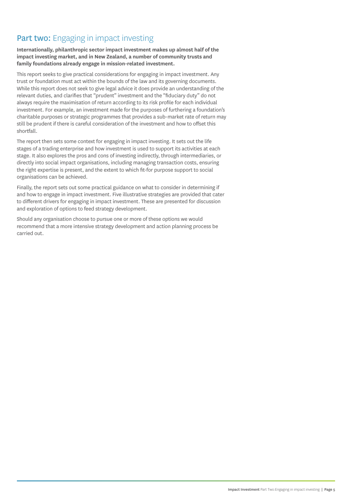# Part two: Engaging in impact investing

**Internationally, philanthropic sector impact investment makes up almost half of the impact investing market, and in New Zealand, a number of community trusts and family foundations already engage in mission-related investment.**

This report seeks to give practical considerations for engaging in impact investment. Any trust or foundation must act within the bounds of the law and its governing documents. While this report does not seek to give legal advice it does provide an understanding of the relevant duties, and clarifies that "prudent" investment and the "fiduciary duty" do not always require the maximisation of return according to its risk profile for each individual investment. For example, an investment made for the purposes of furthering a foundation's charitable purposes or strategic programmes that provides a sub-market rate of return may still be prudent if there is careful consideration of the investment and how to offset this shortfall.

The report then sets some context for engaging in impact investing. It sets out the life stages of a trading enterprise and how investment is used to support its activities at each stage. It also explores the pros and cons of investing indirectly, through intermediaries, or directly into social impact organisations, including managing transaction costs, ensuring the right expertise is present, and the extent to which fit-for purpose support to social organisations can be achieved.

Finally, the report sets out some practical guidance on what to consider in determining if and how to engage in impact investment. Five illustrative strategies are provided that cater to different drivers for engaging in impact investment. These are presented for discussion and exploration of options to feed strategy development.

Should any organisation choose to pursue one or more of these options we would recommend that a more intensive strategy development and action planning process be carried out.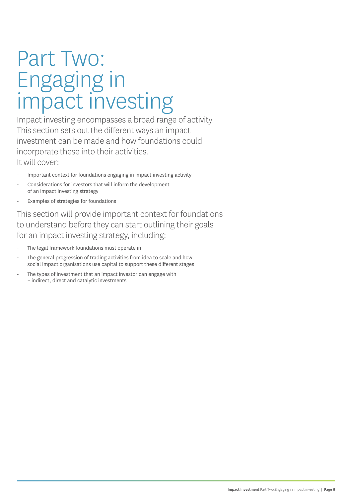# Part Two: Engaging in impact investing

Impact investing encompasses a broad range of activity. This section sets out the different ways an impact investment can be made and how foundations could incorporate these into their activities. It will cover:

- Important context for foundations engaging in impact investing activity
- Considerations for investors that will inform the development of an impact investing strategy
- Examples of strategies for foundations

This section will provide important context for foundations to understand before they can start outlining their goals for an impact investing strategy, including:

- The legal framework foundations must operate in
- The general progression of trading activities from idea to scale and how social impact organisations use capital to support these different stages
- The types of investment that an impact investor can engage with – indirect, direct and catalytic investments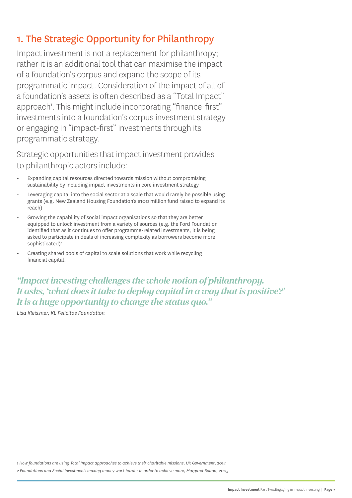# 1. The Strategic Opportunity for Philanthropy

Impact investment is not a replacement for philanthropy; rather it is an additional tool that can maximise the impact of a foundation's corpus and expand the scope of its programmatic impact. Consideration of the impact of all of a foundation's assets is often described as a "Total Impact" approach<sup>1</sup>. This might include incorporating "finance-first" investments into a foundation's corpus investment strategy or engaging in "impact-first" investments through its programmatic strategy.

Strategic opportunities that impact investment provides to philanthropic actors include:

- Expanding capital resources directed towards mission without compromising sustainability by including impact investments in core investment strategy
- Leveraging capital into the social sector at a scale that would rarely be possible using grants (e.g. New Zealand Housing Foundation's \$100 million fund raised to expand its reach)
- Growing the capability of social impact organisations so that they are better equipped to unlock investment from a variety of sources (e.g. the Ford Foundation identified that as it continues to offer programme-related investments, it is being asked to participate in deals of increasing complexity as borrowers become more sophisticated)<sup>2</sup>
- Creating shared pools of capital to scale solutions that work while recycling financial capital.

*"Impact investing challenges the whole notion of philanthropy. It asks, 'what does it take to deploy capital in a way that is positive?' It is a huge opportunity to change the status quo."* 

*Lisa Kleissner, KL Felicitas Foundation*

*1 How foundations are using Total Impact approaches to achieve their charitable missions, UK Government, 2014*

*2 Foundations and Social Investment: making money work harder in order to achieve more, Margaret Bolton, 2005.*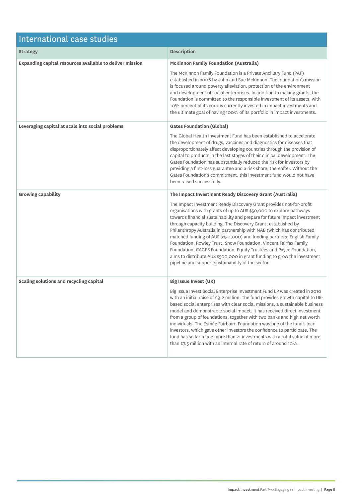| International case studies                               |                                                                                                                                                                                                                                                                                                                                                                                                                                                                                                                                                                                                                                                                                                                            |  |
|----------------------------------------------------------|----------------------------------------------------------------------------------------------------------------------------------------------------------------------------------------------------------------------------------------------------------------------------------------------------------------------------------------------------------------------------------------------------------------------------------------------------------------------------------------------------------------------------------------------------------------------------------------------------------------------------------------------------------------------------------------------------------------------------|--|
| <b>Strategy</b>                                          | <b>Description</b>                                                                                                                                                                                                                                                                                                                                                                                                                                                                                                                                                                                                                                                                                                         |  |
| Expanding capital resources available to deliver mission | <b>McKinnon Family Foundation (Australia)</b>                                                                                                                                                                                                                                                                                                                                                                                                                                                                                                                                                                                                                                                                              |  |
|                                                          | The McKinnon Family Foundation is a Private Ancillary Fund (PAF)<br>established in 2006 by John and Sue McKinnon. The foundation's mission<br>is focused around poverty alleviation, protection of the environment<br>and development of social enterprises. In addition to making grants, the<br>Foundation is committed to the responsible investment of its assets, with<br>10% percent of its corpus currently invested in impact investments and<br>the ultimate goal of having 100% of its portfolio in impact investments.                                                                                                                                                                                          |  |
| Leveraging capital at scale into social problems         | <b>Gates Foundation (Global)</b>                                                                                                                                                                                                                                                                                                                                                                                                                                                                                                                                                                                                                                                                                           |  |
|                                                          | The Global Health Investment Fund has been established to accelerate<br>the development of drugs, vaccines and diagnostics for diseases that<br>disproportionately affect developing countries through the provision of<br>capital to products in the last stages of their clinical development. The<br>Gates Foundation has substantially reduced the risk for investors by<br>providing a first-loss guarantee and a risk share, thereafter. Without the<br>Gates Foundation's commitment, this investment fund would not have<br>been raised successfully.                                                                                                                                                              |  |
| <b>Growing capability</b>                                | The Impact Investment Ready Discovery Grant (Australia)                                                                                                                                                                                                                                                                                                                                                                                                                                                                                                                                                                                                                                                                    |  |
|                                                          | The Impact Investment Ready Discovery Grant provides not-for-profit<br>organisations with grants of up to AUS \$50,000 to explore pathways<br>towards financial sustainability and prepare for future impact investment<br>through capacity building. The Discovery Grant, established by<br>Philanthropy Australia in partnership with NAB (which has contributed<br>matched funding of AUS \$250,000) and funding partners: English Family<br>Foundation, Rowley Trust, Snow Foundation, Vincent Fairfax Family<br>Foundation, CAGES Foundation, Equity Trustees and Payce Foundation,<br>aims to distribute AUS \$500,000 in grant funding to grow the investment<br>pipeline and support sustainability of the sector. |  |
| Scaling solutions and recycling capital                  | <b>Big Issue Invest (UK)</b>                                                                                                                                                                                                                                                                                                                                                                                                                                                                                                                                                                                                                                                                                               |  |
|                                                          | Big Issue Invest Social Enterprise Investment Fund LP was created in 2010<br>with an initial raise of £9.2 million. The fund provides growth capital to UK-<br>based social enterprises with clear social missions, a sustainable business<br>model and demonstrable social impact. It has received direct investment<br>from a group of foundations, together with two banks and high net worth<br>individuals. The Esmée Fairbairn Foundation was one of the fund's lead<br>investors, which gave other investors the confidence to participate. The<br>fund has so far made more than 21 investments with a total value of more<br>than £7.5 million with an internal rate of return of around 10%.                     |  |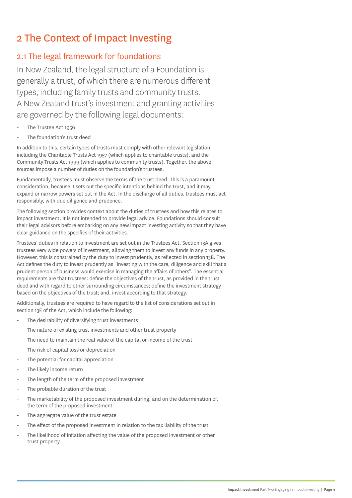# 2 The Context of Impact Investing

## 2.1 The legal framework for foundations

In New Zealand, the legal structure of a Foundation is generally a trust, of which there are numerous different types, including family trusts and community trusts. A New Zealand trust's investment and granting activities are governed by the following legal documents:

- The Trustee Act 1956
- The foundation's trust deed

In addition to this, certain types of trusts must comply with other relevant legislation, including the Charitable Trusts Act 1957 (which applies to charitable trusts), and the Community Trusts Act 1999 (which applies to community trusts). Together, the above sources impose a number of duties on the foundation's trustees.

Fundamentally, trustees must observe the terms of the trust deed. This is a paramount consideration, because it sets out the specific intentions behind the trust, and it may expand or narrow powers set out in the Act. In the discharge of all duties, trustees must act responsibly, with due diligence and prudence.

The following section provides context about the duties of trustees and how this relates to impact investment. It is not intended to provide legal advice. Foundations should consult their legal advisors before embarking on any new impact investing activity so that they have clear guidance on the specifics of their activities.

Trustees' duties in relation to investment are set out in the Trustees Act. Section 13A gives trustees very wide powers of investment, allowing them to invest any funds in any property. However, this is constrained by the duty to invest prudently, as reflected in section 13B. The Act defines the duty to invest prudently as "investing with the care, diligence and skill that a prudent person of business would exercise in managing the affairs of others". The essential requirements are that trustees: define the objectives of the trust, as provided in the trust deed and with regard to other surrounding circumstances; define the investment strategy based on the objectives of the trust; and, invest according to that strategy.

Additionally, trustees are required to have regard to the list of considerations set out in section 13E of the Act, which include the following:

- The desirability of diversifying trust investments
- The nature of existing trust investments and other trust property
- The need to maintain the real value of the capital or income of the trust
- The risk of capital loss or depreciation
- The potential for capital appreciation
- The likely income return
- The length of the term of the proposed investment
- The probable duration of the trust
- The marketability of the proposed investment during, and on the determination of, the term of the proposed investment
- The aggregate value of the trust estate
- The effect of the proposed investment in relation to the tax liability of the trust
- The likelihood of inflation affecting the value of the proposed investment or other trust property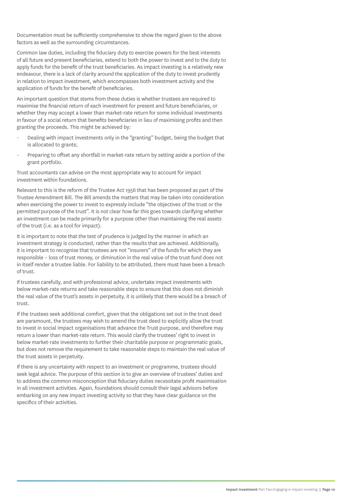Documentation must be sufficiently comprehensive to show the regard given to the above factors as well as the surrounding circumstances.

Common law duties, including the fiduciary duty to exercise powers for the best interests of all future and present beneficiaries, extend to both the power to invest and to the duty to apply funds for the benefit of the trust beneficiaries. As impact investing is a relatively new endeavour, there is a lack of clarity around the application of the duty to invest prudently in relation to impact investment, which encompasses both investment activity and the application of funds for the benefit of beneficiaries.

An important question that stems from these duties is whether trustees are required to maximise the financial return of each investment for present and future beneficiaries, or whether they may accept a lower than market-rate return for some individual investments in favour of a social return that benefits beneficiaries in lieu of maximising profits and then granting the proceeds. This might be achieved by:

- Dealing with impact investments only in the "granting" budget, being the budget that is allocated to grants;
- Preparing to offset any shortfall in market-rate return by setting aside a portion of the grant portfolio.

Trust accountants can advise on the most appropriate way to account for impact investment within foundations.

Relevant to this is the reform of the Trustee Act 1956 that has been proposed as part of the Trustee Amendment Bill. The Bill amends the matters that may be taken into consideration when exercising the power to invest to expressly include "the objectives of the trust or the permitted purpose of the trust". It is not clear how far this goes towards clarifying whether an investment can be made primarily for a purpose other than maintaining the real assets of the trust (i.e. as a tool for impact).

It is important to note that the test of prudence is judged by the manner in which an investment strategy is conducted, rather than the results that are achieved. Additionally, it is important to recognise that trustees are not "insurers" of the funds for which they are responsible – loss of trust money, or diminution in the real value of the trust fund does not in itself render a trustee liable. For liability to be attributed, there must have been a breach of trust.

If trustees carefully, and with professional advice, undertake impact investments with below market-rate returns and take reasonable steps to ensure that this does not diminish the real value of the trust's assets in perpetuity, it is unlikely that there would be a breach of trust.

If the trustees seek additional comfort, given that the obligations set out in the trust deed are paramount, the trustees may wish to amend the trust deed to explicitly allow the trust to invest in social impact organisations that advance the Trust purpose, and therefore may return a lower than market-rate return. This would clarify the trustees' right to invest in below market-rate investments to further their charitable purpose or programmatic goals, but does not remove the requirement to take reasonable steps to maintain the real value of the trust assets in perpetuity.

If there is any uncertainty with respect to an investment or programme, trustees should seek legal advice. The purpose of this section is to give an overview of trustees' duties and to address the common misconception that fiduciary duties necessitate profit maximisation in all investment activities. Again, foundations should consult their legal advisors before embarking on any new impact investing activity so that they have clear guidance on the specifics of their activities.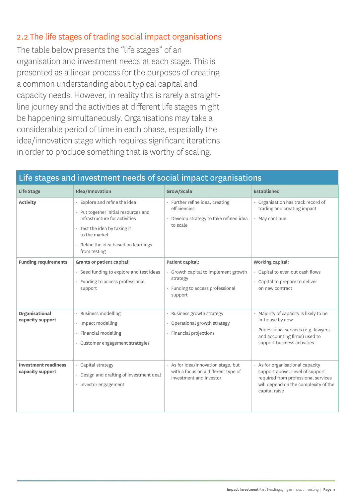# 2.2 The life stages of trading social impact organisations

The table below presents the "life stages" of an organisation and investment needs at each stage. This is presented as a linear process for the purposes of creating a common understanding about typical capital and capacity needs. However, in reality this is rarely a straightline journey and the activities at different life stages might be happening simultaneously. Organisations may take a considerable period of time in each phase, especially the idea/innovation stage which requires significant iterations in order to produce something that is worthy of scaling.

# Life stages and investment needs of social impact organisations

| Life Stage                                      | Idea/Innovation                                                                                                                                                                                                 | Grow/Scale                                                                                                          | <b>Established</b>                                                                                                                                                  |
|-------------------------------------------------|-----------------------------------------------------------------------------------------------------------------------------------------------------------------------------------------------------------------|---------------------------------------------------------------------------------------------------------------------|---------------------------------------------------------------------------------------------------------------------------------------------------------------------|
| <b>Activity</b>                                 | - Explore and refine the idea<br>- Put together initial resources and<br>infrastructure for activities<br>- Test the idea by taking it<br>to the market<br>- Refine the idea based on learnings<br>from testing | - Further refine idea, creating<br>efficiencies<br>- Develop strategy to take refined idea<br>to scale              | - Organisation has track record of<br>trading and creating impact<br>- May continue                                                                                 |
| <b>Funding requirements</b>                     | Grants or patient capital:<br>- Seed funding to explore and test ideas<br>- Funding to access professional<br>support                                                                                           | Patient capital:<br>- Growth capital to implement growth<br>strategy<br>- Funding to access professional<br>support | Working capital:<br>- Capital to even out cash flows<br>- Capital to prepare to deliver<br>on new contract                                                          |
| Organisational<br>capacity support              | - Business modelling<br>- Impact modelling<br>- Financial modelling<br>- Customer engagement strategies                                                                                                         | - Business growth strategy<br>- Operational growth strategy<br>- Financial projections                              | - Majority of capacity is likely to be<br>in-house by now<br>- Professional services (e.g. lawyers<br>and accounting firms) used to<br>support business activities  |
| <b>Investment readiness</b><br>capacity support | - Capital strategy<br>- Design and drafting of investment deal<br>- Investor engagement                                                                                                                         | - As for Idea/Innovation stage, but<br>with a focus on a different type of<br>investment and investor               | - As for organisational capacity<br>support above. Level of support<br>required from professional services<br>will depend on the complexity of the<br>capital raise |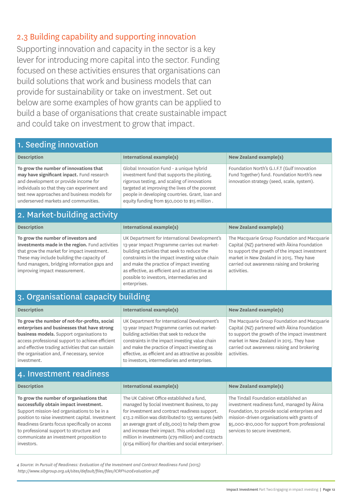# 2.3 Building capability and supporting innovation

Supporting innovation and capacity in the sector is a key lever for introducing more capital into the sector. Funding focused on these activities ensures that organisations can build solutions that work and business models that can provide for sustainability or take on investment. Set out below are some examples of how grants can be applied to build a base of organisations that create sustainable impact and could take on investment to grow that impact.

## 1. Seeding innovation

#### **Description International example(s) New Zealand example(s)**

**To grow the number of innovations that may have significant inpact.** Fund research and development or provide income for individuals so that they can experiment and test new approaches and business models for underserved markets and communities.

## 2. Market-building activity

#### **Description International example(s) International example(s) New Zealand example(s) To grow the number of investors and investments made in the region.** Fund activities that grow the market for impact investment. These may include building the capacity of fund managers, bridging information gaps and improving impact measurement. UK Department for International Development's 13-year Impact Programme carries out marketbuilding activities that seek to reduce the constraints in the impact investing value chain and make the practice of impact investing as effective, as efficient and as attractive as possible to investors, intermediaries and enterprises. The Macquarie Group Foundation and Macquarie Capital (NZ) partnered with Ākina Foundation to support the growth of the impact investment market in New Zealand in 2015. They have carried out awareness raising and brokering activities.

Global Innovation Fund - a unique hybrid investment fund that supports the piloting, rigorous testing, and scaling of innovations targeted at improving the lives of the poorest people in developing countries. Grant, loan and equity funding from \$50,000 to \$15 million .

# 3. Organisational capacity building

| <b>Description</b>                                                                                                                                                                                                                                                                                                      | International example(s)                                                                                                                                                                                                                                                                                                                                  | New Zealand example(s)                                                                                                                                                                                                                                   |
|-------------------------------------------------------------------------------------------------------------------------------------------------------------------------------------------------------------------------------------------------------------------------------------------------------------------------|-----------------------------------------------------------------------------------------------------------------------------------------------------------------------------------------------------------------------------------------------------------------------------------------------------------------------------------------------------------|----------------------------------------------------------------------------------------------------------------------------------------------------------------------------------------------------------------------------------------------------------|
| To grow the number of not-for-profits, social<br>enterprises and businesses that have strong<br><b>business models.</b> Support organisations to<br>access professional support to achieve efficient<br>and effective trading activities that can sustain<br>the organisation and, if necessary, service<br>investment. | UK Department for International Development's<br>13-year Impact Programme carries out market-<br>building activities that seek to reduce the<br>constraints in the impact investing value chain<br>and make the practice of impact investing as<br>effective, as efficient and as attractive as possible<br>to investors, intermediaries and enterprises. | The Macquarie Group Foundation and Macquarie<br>Capital (NZ) partnered with Akina Foundation<br>to support the growth of the impact investment<br>market in New Zealand in 2015. They have<br>carried out awareness raising and brokering<br>activities. |
| 4. Investment readiness                                                                                                                                                                                                                                                                                                 |                                                                                                                                                                                                                                                                                                                                                           |                                                                                                                                                                                                                                                          |
| <b>Description</b>                                                                                                                                                                                                                                                                                                      | International example(s)                                                                                                                                                                                                                                                                                                                                  |                                                                                                                                                                                                                                                          |
|                                                                                                                                                                                                                                                                                                                         |                                                                                                                                                                                                                                                                                                                                                           | New Zealand example(s)                                                                                                                                                                                                                                   |

*4 Source: In Pursuit of Readiness: Evaluation of the Investment and Contract Readiness Fund (2015) http://www.sibgroup.org.uk/sites/default/files/files/ICRF%20Evaluation.pdf* 

Foundation North's G.I.F.T (Gulf Innovation Fund Together) fund. Foundation North's new innovation strategy (seed, scale, system).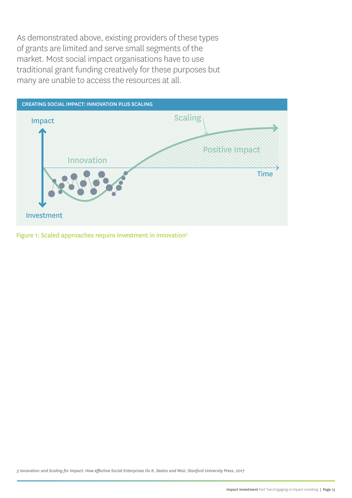As demonstrated above, existing providers of these types of grants are limited and serve small segments of the market. Most social impact organisations have to use traditional grant funding creatively for these purposes but many are unable to access the resources at all.



Figure 1: Scaled approaches require investment in innovation<sup>5</sup>

*5 Innovation and Scaling for Impact: How effective Social Enterprises Do It. Seelos and Mair, Stanford University Press, 2017*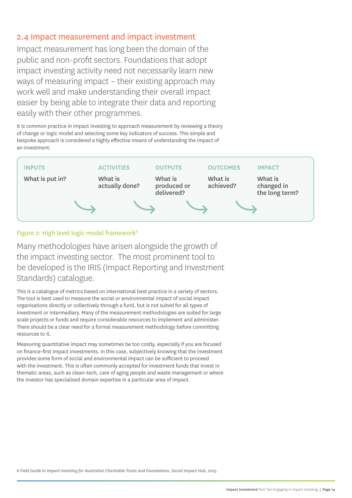### 2.4 Impact measurement and impact investment

Impact measurement has long been the domain of the public and non-profit sectors. Foundations that adopt impact investing activity need not necessarily learn new ways of measuring impact – their existing approach may work well and make understanding their overall impact easier by being able to integrate their data and reporting easily with their other programmes.

It is common practice in impact investing to approach measurement by reviewing a theory of change or logic model and selecting some key indicators of success. This simple and bespoke approach is considered a highly effective means of understanding the impact of an investment.



#### Figure 2: High level logic model framework<sup>6</sup>

Many methodologies have arisen alongside the growth of the impact investing sector. The most prominent tool to be developed is the IRIS (Impact Reporting and Investment Standards) catalogue.

This is a catalogue of metrics based on international best practice in a variety of sectors. The tool is best used to measure the social or environmental impact of social impact organisations directly or collectively through a fund, but is not suited for all types of investment or intermediary. Many of the measurement methodologies are suited for large scale projects or funds and require considerable resources to implement and administer. There should be a clear need for a formal measurement methodology before committing resources to it.

Measuring quantitative impact may sometimes be too costly, especially if you are focused on finance-first impact investments. In this case, subjectively knowing that the investment provides some form of social and environmental impact can be sufficient to proceed with the investment. This is often commonly accepted for investment funds that invest in thematic areas, such as clean-tech, care of aging people and waste management or where the investor has specialised domain expertise in a particular area of impact.

*6 Field Guide to Impact Investing for Australian Charitable Trusts and Foundations, Social Impact Hub, 2015.*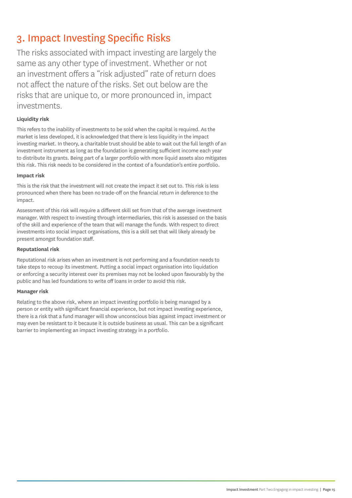# 3. Impact Investing Specific Risks

The risks associated with impact investing are largely the same as any other type of investment. Whether or not an investment offers a "risk adjusted" rate of return does not affect the nature of the risks. Set out below are the risks that are unique to, or more pronounced in, impact investments.

#### **Liquidity risk**

This refers to the inability of investments to be sold when the capital is required. As the market is less developed, it is acknowledged that there is less liquidity in the impact investing market. In theory, a charitable trust should be able to wait out the full length of an investment instrument as long as the foundation is generating sufficient income each year to distribute its grants. Being part of a larger portfolio with more liquid assets also mitigates this risk. This risk needs to be considered in the context of a foundation's entire portfolio.

#### **Impact risk**

This is the risk that the investment will not create the impact it set out to. This risk is less pronounced when there has been no trade-off on the financial return in deference to the impact.

Assessment of this risk will require a different skill set from that of the average investment manager. With respect to investing through intermediaries, this risk is assessed on the basis of the skill and experience of the team that will manage the funds. With respect to direct investments into social impact organisations, this is a skill set that will likely already be present amongst foundation staff.

#### **Reputational risk**

Reputational risk arises when an investment is not performing and a foundation needs to take steps to recoup its investment. Putting a social impact organisation into liquidation or enforcing a security interest over its premises may not be looked upon favourably by the public and has led foundations to write off loans in order to avoid this risk.

#### **Manager risk**

Relating to the above risk, where an impact investing portfolio is being managed by a person or entity with significant financial experience, but not impact investing experience, there is a risk that a fund manager will show unconscious bias against impact investment or may even be resistant to it because it is outside business as usual. This can be a significant barrier to implementing an impact investing strategy in a portfolio.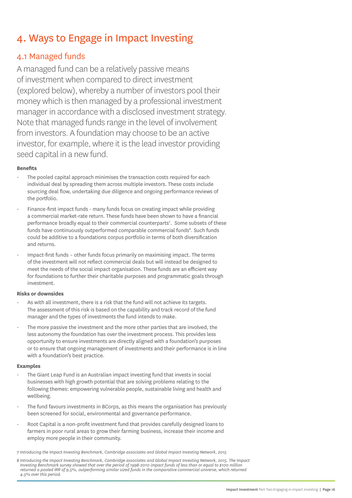# 4. Ways to Engage in Impact Investing

## 4.1 Managed funds

A managed fund can be a relatively passive means of investment when compared to direct investment (explored below), whereby a number of investors pool their money which is then managed by a professional investment manager in accordance with a disclosed investment strategy. Note that managed funds range in the level of involvement from investors. A foundation may choose to be an active investor, for example, where it is the lead investor providing seed capital in a new fund.

#### **Benefits**

- The pooled capital approach minimises the transaction costs required for each individual deal by spreading them across multiple investors. These costs include sourcing deal flow, undertaking due diligence and ongoing performance reviews of the portfolio.
- Finance-first impact funds many funds focus on creating impact while providing a commercial market-rate return. These funds have been shown to have a financial performance broadly equal to their commercial counterparts<sup>7</sup>. Some subsets of these funds have continuously outperformed comparable commercial funds<sup>8</sup>. Such funds could be additive to a foundations corpus portfolio in terms of both diversification and returns.
- Impact-first funds other funds focus primarily on maximising impact. The terms of the investment will not reflect commercial deals but will instead be designed to meet the needs of the social impact organisation. These funds are an efficient way for foundations to further their charitable purposes and programmatic goals through investment.

#### **Risks or downsides**

- As with all investment, there is a risk that the fund will not achieve its targets. The assessment of this risk is based on the capability and track record of the fund manager and the types of investments the fund intends to make.
- The more passive the investment and the more other parties that are involved, the less autonomy the foundation has over the investment process. This provides less opportunity to ensure investments are directly aligned with a foundation's purposes or to ensure that ongoing management of investments and their performance is in line with a foundation's best practice.

#### **Examples**

- The Giant Leap Fund is an Australian impact investing fund that invests in social businesses with high growth potential that are solving problems relating to the following themes: empowering vulnerable people, sustainable living and health and wellbeing.
- The fund favours investments in BCorps, as this means the organisation has previously been screened for social, environmental and governance performance.
- Root Capital is a non-profit investment fund that provides carefully designed loans to farmers in poor rural areas to grow their farming business, increase their income and employ more people in their community.

*7 Introducing the Impact Investing Benchmark, Cambridge associates and Global Impact Investing Network, 2015*

*8 Introducing the Impact Investing Benchmark, Cambridge associates and Global Impact Investing Network, 2015. The Impact Investing Benchmark survey showed that over the period of 1998-2010 impact funds of less than or equal to \$100 million*  returned a pooled IRR of 9.5%, outperforming similar sized funds in the comparative commercial universe, which returned *4.5% over this period.*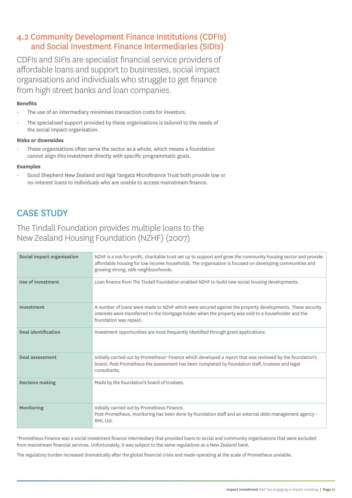## 4.2 Community Development Finance Institutions (CDFIs) and Social Investment Finance Intermediaries (SIDIs)

CDFIs and SIFIs are specialist financial service providers of affordable loans and support to businesses, social impact organisations and individuals who struggle to get finance from high street banks and loan companies.

#### **Benefits**

- The use of an intermediary minimises transaction costs for investors.
- The specialised support provided by these organisations is tailored to the needs of the social impact organisation.

#### **Risks or downsides**

These organisations often serve the sector as a whole, which means a foundation cannot align this investment directly with specific programmatic goals.

#### **Examples**

- Good Shepherd New Zealand and Ngā Tangata Microfinance Trust both provide low or no-interest loans to individuals who are unable to access mainstream finance.

# CASE STUDY

## The Tindall Foundation provides multiple loans to the New Zealand Housing Foundation (NZHF) (2007)

| Social impact organisation | NZHF is a not-for-profit, charitable trust set up to support and grow the community housing sector and provide<br>affordable housing for low income households. The organisation is focused on developing communities and<br>growing strong, safe neighbourhoods. |
|----------------------------|-------------------------------------------------------------------------------------------------------------------------------------------------------------------------------------------------------------------------------------------------------------------|
| Use of investment          | Loan finance from The Tindall Foundation enabled NZHF to build new social housing developments.                                                                                                                                                                   |
| Investment                 | A number of loans were made to NZHF which were secured against the property developments. These security<br>interests were transferred to the mortgage holder when the property was sold to a householder and the<br>foundation was repaid.                       |
| <b>Deal identification</b> | Investment opportunities are most frequently identified through grant applications.                                                                                                                                                                               |
| Deal assessment            | Initially carried out by Prometheus* Finance which developed a report that was reviewed by the foundation's<br>board. Post-Prometheus the assessment has been completed by foundation staff, trustees and legal<br>consultants.                                   |
| <b>Decision making</b>     | Made by the foundation's board of trustees.                                                                                                                                                                                                                       |
| Monitoring                 | Initially carried out by Prometheus Finance.<br>Post-Prometheus, monitoring has been done by foundation staff and an external debt-management agency -<br>RML Ltd.                                                                                                |

\*Prometheus Finance was a social investment finance intermediary that provided loans to social and community organisations that were excluded from mainstream financial services. Unfortunately, it was subject to the same regulations as a New Zealand bank.

The regulatory burden increased dramatically after the global financial crisis and made operating at the scale of Prometheus unviable.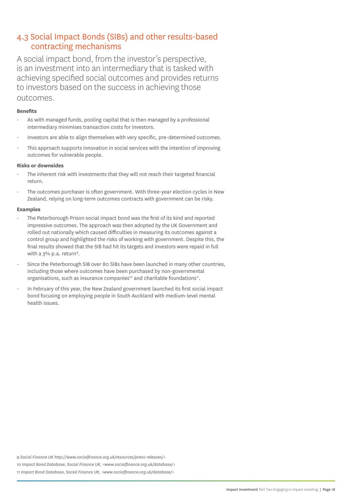### 4.3 Social Impact Bonds (SIBs) and other results-based contracting mechanisms

A social impact bond, from the investor's perspective, is an investment into an intermediary that is tasked with achieving specified social outcomes and provides returns to investors based on the success in achieving those outcomes.

#### **Benefits**

- As with managed funds, pooling capital that is then managed by a professional intermediary minimises transaction costs for investors.
- Investors are able to align themselves with very specific, pre-determined outcomes.
- This approach supports innovation in social services with the intention of improving outcomes for vulnerable people.

#### **Risks or downsides**

- The inherent risk with investments that they will not reach their targeted financial return.
- The outcomes purchaser is often government. With three-year election cycles in New Zealand, relying on long-term outcomes contracts with government can be risky.

#### **Examples**

- The Peterborough Prison social impact bond was the first of its kind and reported impressive outcomes. The approach was then adopted by the UK Government and rolled out nationally which caused difficulties in measuring its outcomes against a control group and highlighted the risks of working with government. Despite this, the final results showed that the SIB had hit its targets and investors were repaid in full with a 3% p.a. return<sup>9</sup>.
- Since the Peterborough SIB over 80 SIBs have been launched in many other countries, including those where outcomes have been purchased by non-governmental organisations, such as insurance companies<sup>10</sup> and charitable foundations<sup>11</sup>.
- In February of this year, the New Zealand government launched its first social impact bond focusing on employing people in South Auckland with medium-level mental health issues.

*9 Social Finance UK http://www.socialfinance.org.uk/resources/press-releases/>*

*10 Impact Bond Database, Social Finance UK, <www.socialfinance.org.uk/database/>*

*11 Impact Bond Database, Social Finance UK, <www.socialfinance.org.uk/database/>*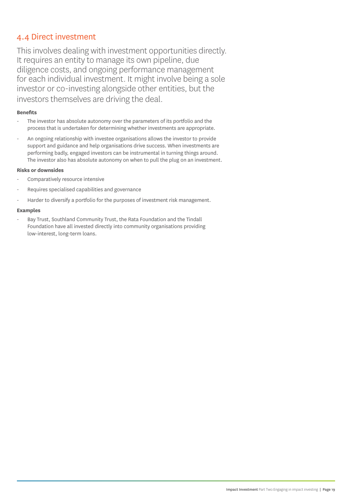## 4.4 Direct investment

This involves dealing with investment opportunities directly. It requires an entity to manage its own pipeline, due diligence costs, and ongoing performance management for each individual investment. It might involve being a sole investor or co-investing alongside other entities, but the investors themselves are driving the deal.

#### **Benefits**

- The investor has absolute autonomy over the parameters of its portfolio and the process that is undertaken for determining whether investments are appropriate.
- An ongoing relationship with investee organisations allows the investor to provide support and guidance and help organisations drive success. When investments are performing badly, engaged investors can be instrumental in turning things around. The investor also has absolute autonomy on when to pull the plug on an investment.

#### **Risks or downsides**

- Comparatively resource intensive
- Requires specialised capabilities and governance
- Harder to diversify a portfolio for the purposes of investment risk management.

#### **Examples**

Bay Trust, Southland Community Trust, the Rata Foundation and the Tindall Foundation have all invested directly into community organisations providing low-interest, long-term loans.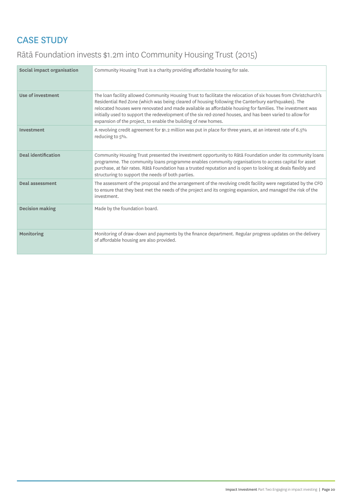# CASE STUDY

# Rātā Foundation invests \$1.2m into Community Housing Trust (2015)

| Social impact organisation | Community Housing Trust is a charity providing affordable housing for sale.                                                                                                                                                                                                                                                                                                                                                                                                                                         |
|----------------------------|---------------------------------------------------------------------------------------------------------------------------------------------------------------------------------------------------------------------------------------------------------------------------------------------------------------------------------------------------------------------------------------------------------------------------------------------------------------------------------------------------------------------|
| Use of investment          | The loan facility allowed Community Housing Trust to facilitate the relocation of six houses from Christchurch's<br>Residential Red Zone (which was being cleared of housing following the Canterbury earthquakes). The<br>relocated houses were renovated and made available as affordable housing for families. The investment was<br>initially used to support the redevelopment of the six red-zoned houses, and has been varied to allow for<br>expansion of the project, to enable the building of new homes. |
| Investment                 | A revolving credit agreement for \$1.2 million was put in place for three years, at an interest rate of 6.5%<br>reducing to 5%.                                                                                                                                                                                                                                                                                                                                                                                     |
| Deal identification        | Community Housing Trust presented the investment opportunity to Rātā Foundation under its community loans<br>programme. The community loans programme enables community organisations to access capital for asset<br>purchase, at fair rates. Rātā Foundation has a trusted reputation and is open to looking at deals flexibly and<br>structuring to support the needs of both parties.                                                                                                                            |
| Deal assessment            | The assessment of the proposal and the arrangement of the revolving credit facility were negotiated by the CFO<br>to ensure that they best met the needs of the project and its ongoing expansion, and managed the risk of the<br>investment.                                                                                                                                                                                                                                                                       |
| <b>Decision making</b>     | Made by the foundation board.                                                                                                                                                                                                                                                                                                                                                                                                                                                                                       |
| Monitoring                 | Monitoring of draw-down and payments by the finance department. Regular progress updates on the delivery<br>of affordable housing are also provided.                                                                                                                                                                                                                                                                                                                                                                |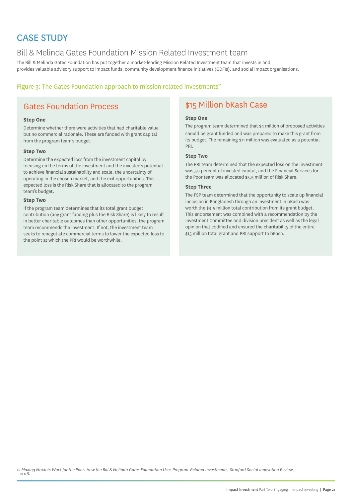# CASE STUDY

## Bill & Melinda Gates Foundation Mission Related Investment team

The Bill & Melinda Gates Foundation has put together a market-leading Mission Related Investment team that invests in and provides valuable advisory support to impact funds, community development finance initiatives (CDFIs), and social impact organisations.

#### Figure 3: The Gates Foundation approach to mission related investments<sup>12</sup>

# Gates Foundation Process **\$15 Million bKash Case**

#### **Step One**

Determine whether there were activities that had charitable value but no commercial rationale. These are funded with grant capital from the program team's budget.

#### **Step Two**

Determine the expected loss from the investment capital by focusing on the terms of the investment and the investee's potential to achieve financial sustainability and scale, the uncertainty of operating in the chosen market, and the exit opportunities. This expected loss is the Risk Share that is allocated to the program team's budget.

#### **Step Two**

If the program team determines that its total grant budget contribution (any grant funding plus the Risk Share) is likely to result in better charitable outcomes than other opportunities, the program team recommends the investment. If not, the investment team seeks to renegotiate commercial terms to lower the expected loss to the point at which the PRI would be worthwhile.

#### **Step One**

The program team determined that \$4 million of proposed activities should be grant funded and was prepared to make this grant from its budget. The remaining \$11 million was evaluated as a potential PRI.

#### **Step Two**

The PRI team determined that the expected loss on the investment was 50 percent of invested capital, and the Financial Services for the Poor team was allocated \$5.5 million of Risk Share.

#### **Step Three**

The FSP team determined that the opportunity to scale up financial inclusion in Bangladesh through an investment in bKash was worth the \$9.5 million total contribution from its grant budget. This endorsement was combined with a recommendation by the Investment Committee and division president as well as the legal opinion that codified and ensured the charitability of the entire \$15 million total grant and PRI support to bKash.

*12 Making Markets Work for the Poor: How the Bill & Melinda Gates Foundation Uses Program-Related Investments, Stanford Social Innovation Review, 2016.*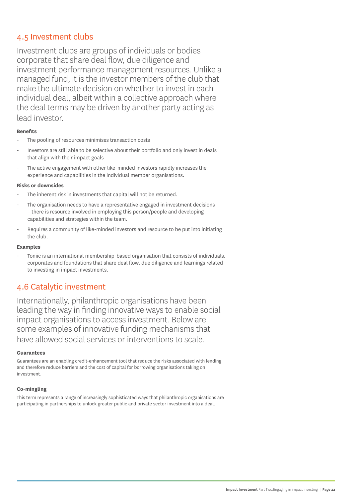### 4.5 Investment clubs

Investment clubs are groups of individuals or bodies corporate that share deal flow, due diligence and investment performance management resources. Unlike a managed fund, it is the investor members of the club that make the ultimate decision on whether to invest in each individual deal, albeit within a collective approach where the deal terms may be driven by another party acting as lead investor.

#### **Benefits**

- The pooling of resources minimises transaction costs
- Investors are still able to be selective about their portfolio and only invest in deals that align with their impact goals
- The active engagement with other like-minded investors rapidly increases the experience and capabilities in the individual member organisations.

#### **Risks or downsides**

- The inherent risk in investments that capital will not be returned.
- The organisation needs to have a representative engaged in investment decisions – there is resource involved in employing this person/people and developing capabilities and strategies within the team.
- Requires a community of like-minded investors and resource to be put into initiating the club.

#### **Examples**

Toniic is an international membership-based organisation that consists of individuals, corporates and foundations that share deal flow, due diligence and learnings related to investing in impact investments.

## 4.6 Catalytic investment

Internationally, philanthropic organisations have been leading the way in finding innovative ways to enable social impact organisations to access investment. Below are some examples of innovative funding mechanisms that have allowed social services or interventions to scale.

#### **Guarantees**

Guarantees are an enabling credit-enhancement tool that reduce the risks associated with lending and therefore reduce barriers and the cost of capital for borrowing organisations taking on investment.

#### **Co-mingling**

This term represents a range of increasingly sophisticated ways that philanthropic organisations are participating in partnerships to unlock greater public and private sector investment into a deal.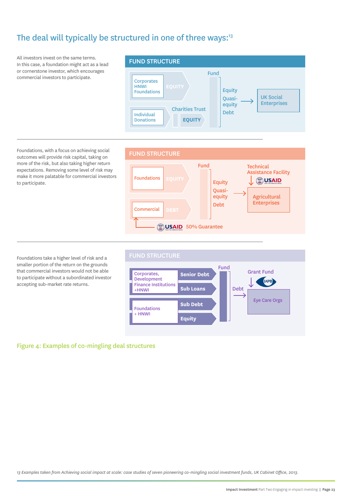# The deal will typically be structured in one of three ways:<sup>13</sup>

All investors invest on the same terms. In this case, a foundation might act as a lead or cornerstone investor, which encourages commercial investors to participate.



Foundations, with a focus on achieving social outcomes will provide risk capital, taking on more of the risk, but also taking higher return expectations. Removing some level of risk may make it more palatable for commercial investors to participate.

Foundations take a higher level of risk and a smaller portion of the return on the grounds that commercial investors would not be able to participate without a subordinated investor accepting sub-market rate returns.





#### Figure 4: Examples of co-mingling deal structures

*13 Examples taken from Achieving social impact at scale: case studies of seven pioneering co-mingling social investment funds, UK Cabinet Office, 2013.*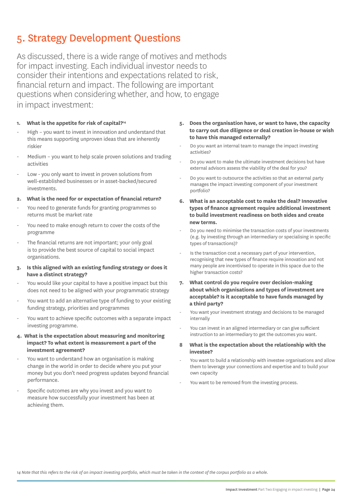# 5. Strategy Development Questions

As discussed, there is a wide range of motives and methods for impact investing. Each individual investor needs to consider their intentions and expectations related to risk, financial return and impact. The following are important questions when considering whether, and how, to engage in impact investment:

#### **1. What is the appetite for risk of capital?14**

- High you want to invest in innovation and understand that this means supporting unproven ideas that are inherently riskier
- Medium you want to help scale proven solutions and trading activities
- Low you only want to invest in proven solutions from well-established businesses or in asset-backed/secured investments.
- **2. What is the need for or expectation of financial return?**
- You need to generate funds for granting programmes so returns must be market rate
- You need to make enough return to cover the costs of the programme
- The financial returns are not important; your only goal is to provide the best source of capital to social impact organisations.
- **3. Is this aligned with an existing funding strategy or does it have a distinct strategy?**
- You would like your capital to have a positive impact but this does not need to be aligned with your programmatic strategy
- You want to add an alternative type of funding to your existing funding strategy, priorities and programmes
- You want to achieve specific outcomes with a separate impact investing programme.
- **4. What is the expectation about measuring and monitoring impact? To what extent is measurement a part of the investment agreement?**
- You want to understand how an organisation is making change in the world in order to decide where you put your money but you don't need progress updates beyond financial performance.
- Specific outcomes are why you invest and you want to measure how successfully your investment has been at achieving them.
- **5. Does the organisation have, or want to have, the capacity to carry out due diligence or deal creation in-house or wish to have this managed externally?**
- Do you want an internal team to manage the impact investing activities?
- Do you want to make the ultimate investment decisions but have external advisors assess the viability of the deal for you?
- Do you want to outsource the activities so that an external party manages the impact investing component of your investment portfolio?
- **6. What is an acceptable cost to make the deal? Innovative types of finance agreement require additional investment to build investment readiness on both sides and create new terms.**
- Do you need to minimise the transaction costs of your investments (e.g. by investing through an intermediary or specialising in specific types of transactions)?
- Is the transaction cost a necessary part of your intervention, recognising that new types of finance require innovation and not many people are incentivised to operate in this space due to the higher transaction costs?
- **7. What control do you require over decision-making about which organisations and types of investment are acceptable? Is it acceptable to have funds managed by a third party?**
- You want your investment strategy and decisions to be managed internally
- You can invest in an aligned intermediary or can give sufficient instruction to an intermediary to get the outcomes you want.
- **8 What is the expectation about the relationship with the investee?**
- You want to build a relationship with investee organisations and allow them to leverage your connections and expertise and to build your own capacity
- You want to be removed from the investing process.

*14 Note that this refers to the risk of an impact investing portfolio, which must be taken in the context of the corpus portfolio as a whole.*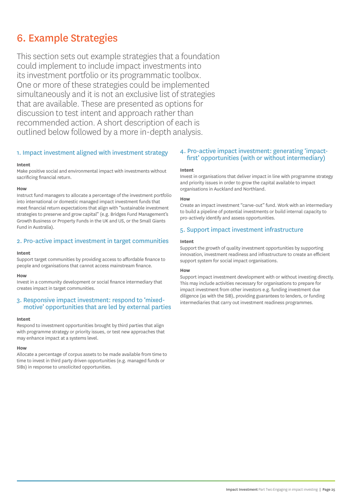# 6. Example Strategies

This section sets out example strategies that a foundation could implement to include impact investments into its investment portfolio or its programmatic toolbox. One or more of these strategies could be implemented simultaneously and it is not an exclusive list of strategies that are available. These are presented as options for discussion to test intent and approach rather than recommended action. A short description of each is outlined below followed by a more in-depth analysis.

#### 1. Impact investment aligned with investment strategy

#### **Intent**

Make positive social and environmental impact with investments without sacrificing financial return.

#### **How**

Instruct fund managers to allocate a percentage of the investment portfolio into international or domestic managed impact investment funds that meet financial return expectations that align with "sustainable investment strategies to preserve and grow capital" (e.g. Bridges Fund Management's Growth Business or Property Funds in the UK and US, or the Small Giants Fund in Australia).

#### 2. Pro-active impact investment in target communities

#### **Intent**

Support target communities by providing access to affordable finance to people and organisations that cannot access mainstream finance.

#### **How**

Invest in a community development or social finance intermediary that creates impact in target communities.

#### 3. Responsive impact investment: respond to 'mixedmotive' opportunities that are led by external parties

#### **Intent**

Respond to investment opportunities brought by third parties that align with programme strategy or priority issues, or test new approaches that may enhance impact at a systems level.

#### **How**

Allocate a percentage of corpus assets to be made available from time to time to invest in third party driven opportunities (e.g. managed funds or SIBs) in response to unsolicited opportunities.

#### 4. Pro-active impact investment: generating 'impactfirst' opportunities (with or without intermediary)

#### **Intent**

Invest in organisations that deliver impact in line with programme strategy and priority issues in order to grow the capital available to impact organisations in Auckland and Northland.

#### **How**

Create an impact investment "carve-out" fund. Work with an intermediary to build a pipeline of potential investments or build internal capacity to pro-actively identify and assess opportunities.

#### 5. Support impact investment infrastructure

#### **Intent**

Support the growth of quality investment opportunities by supporting innovation, investment readiness and infrastructure to create an efficient support system for social impact organisations.

#### **How**

Support impact investment development with or without investing directly. This may include activities necessary for organisations to prepare for impact investment from other investors e.g. funding investment due diligence (as with the SIB), providing guarantees to lenders, or funding intermediaries that carry out investment readiness programmes.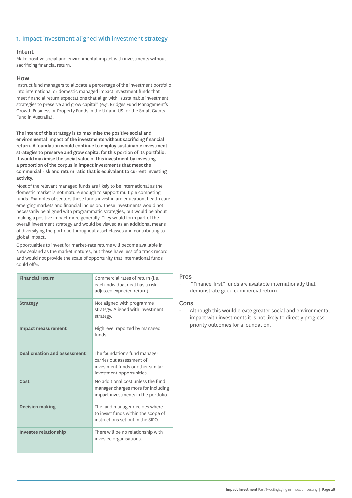#### 1. Impact investment aligned with investment strategy

#### Intent

Make positive social and environmental impact with investments without sacrificing financial return.

#### How

Instruct fund managers to allocate a percentage of the investment portfolio into international or domestic managed impact investment funds that meet financial return expectations that align with "sustainable investment strategies to preserve and grow capital" (e.g. Bridges Fund Management's Growth Business or Property Funds in the UK and US, or the Small Giants Fund in Australia).

The intent of this strategy is to maximise the positive social and environmental impact of the investments without sacrificing financial return. A foundation would continue to employ sustainable investment strategies to preserve and grow capital for this portion of its portfolio. It would maximise the social value of this investment by investing a proportion of the corpus in impact investments that meet the commercial risk and return ratio that is equivalent to current investing activity.

Most of the relevant managed funds are likely to be international as the domestic market is not mature enough to support multiple competing funds. Examples of sectors these funds invest in are education, health care, emerging markets and financial inclusion. These investments would not necessarily be aligned with programmatic strategies, but would be about making a positive impact more generally. They would form part of the overall investment strategy and would be viewed as an additional means of diversifying the portfolio throughout asset classes and contributing to global impact.

Opportunities to invest for market-rate returns will become available in New Zealand as the market matures, but these have less of a track record and would not provide the scale of opportunity that international funds could offer.

| <b>Financial return</b>             | Commercial rates of return (i.e.<br>each individual deal has a risk-<br>adjusted expected return)                            |
|-------------------------------------|------------------------------------------------------------------------------------------------------------------------------|
| <b>Strategy</b>                     | Not aligned with programme<br>strategy. Aligned with investment<br>strategy.                                                 |
| <b>Impact measurement</b>           | High level reported by managed<br>funds.                                                                                     |
| <b>Deal creation and assessment</b> | The foundation's fund manager<br>carries out assessment of<br>investment funds or other similar<br>investment opportunities. |
| Cost                                | No additional cost unless the fund<br>manager charges more for including<br>impact investments in the portfolio.             |
| <b>Decision making</b>              | The fund manager decides where<br>to invest funds within the scope of<br>instructions set out in the SIPO.                   |
| <b>Investee relationship</b>        | There will be no relationship with<br>investee organisations.                                                                |

#### Pros

"Finance-first" funds are available internationally that demonstrate good commercial return.

#### Cons

Although this would create greater social and environmental impact with investments it is not likely to directly progress priority outcomes for a foundation.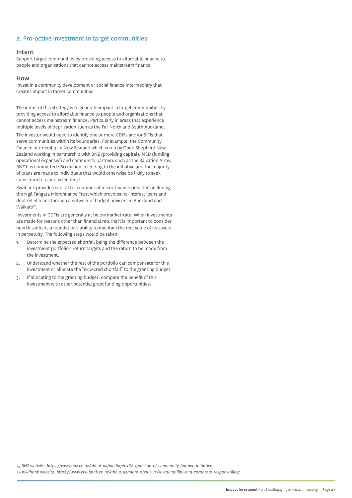#### 2. Pro-active investment in target communities

#### Intent

Support target communities by providing access to affordable finance to people and organisations that cannot access mainstream finance.

#### How

Invest in a community development or social finance intermediary that creates impact in target communities.

The intent of this strategy is to generate impact in target communities by providing access to affordable finance to people and organisations that cannot access mainstream finance. Particularly in areas that experience multiple levels of deprivation such as the Far North and South Auckland.

The investor would need to identify one or more CDFIs and/or SIFIs that serve communities within its boundaries. For example, the Community Finance partnership in New Zealand which is run by Good Shepherd New Zealand working in partnership with BNZ (providing capital), MSD (funding operational expenses) and community partners such as the Salvation Army. BNZ has committed \$60 million in lending to the initiative and the majority of loans are made to individuals that would otherwise be likely to seek loans from to pay-day lenders<sup>15</sup>.

Kiwibank provides capital to a number of micro-finance providers including the Ngā Tangata Microfinance Trust which provides no-interest loans and debt relief loans through a network of budget advisers in Auckland and Waikato<sup>16</sup>.

Investments in CDFIs are generally at below market-rate. When investments are made for reasons other than financial returns it is important to consider how this affects a foundation's ability to maintain the real value of its assets in perpetuity. The following steps would be taken:

- 1. Determine the expected shortfall being the difference between the investment portfolio's return targets and the return to be made from the investment.
- 2. Understand whether the rest of the portfolio can compensate for this investment or allocate the "expected shortfall" to the granting budget.
- 3. If allocating to the granting budget, compare the benefit of this investment with other potential grant funding opportunities.

*15 BNZ website, https://www.bnz.co.nz/about-us/media/2016/expansion-of-community-finance-initiative*

*16 Kiwibank website, https://www.kiwibank.co.nz/about-us/more-about-us/sustainability-and-corporate-responsibility/*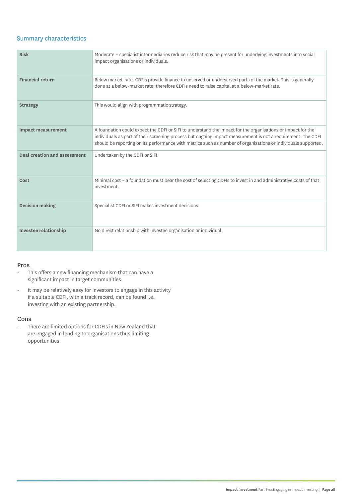#### Summary characteristics

| <b>Risk</b>                         | Moderate - specialist intermediaries reduce risk that may be present for underlying investments into social<br>impact organisations or individuals.                                                                                                                                                                                          |
|-------------------------------------|----------------------------------------------------------------------------------------------------------------------------------------------------------------------------------------------------------------------------------------------------------------------------------------------------------------------------------------------|
| <b>Financial return</b>             | Below market-rate. CDFIs provide finance to unserved or underserved parts of the market. This is generally<br>done at a below-market rate; therefore CDFIs need to raise capital at a below-market rate.                                                                                                                                     |
| <b>Strategy</b>                     | This would align with programmatic strategy.                                                                                                                                                                                                                                                                                                 |
| <b>Impact measurement</b>           | A foundation could expect the CDFI or SIFI to understand the impact for the organisations or impact for the<br>individuals as part of their screening process but ongoing impact measurement is not a requirement. The CDFI<br>should be reporting on its performance with metrics such as number of organisations or individuals supported. |
| <b>Deal creation and assessment</b> | Undertaken by the CDFI or SIFI.                                                                                                                                                                                                                                                                                                              |
| Cost                                | Minimal cost - a foundation must bear the cost of selecting CDFIs to invest in and administrative costs of that<br>investment.                                                                                                                                                                                                               |
| <b>Decision making</b>              | Specialist CDFI or SIFI makes investment decisions.                                                                                                                                                                                                                                                                                          |
| <b>Investee relationship</b>        | No direct relationship with investee organisation or individual.                                                                                                                                                                                                                                                                             |

#### Pros

- This offers a new financing mechanism that can have a significant impact in target communities.
- It may be relatively easy for investors to engage in this activity if a suitable CDFI, with a track record, can be found i.e. investing with an existing partnership.

#### Cons

- There are limited options for CDFIs in New Zealand that are engaged in lending to organisations thus limiting opportunities.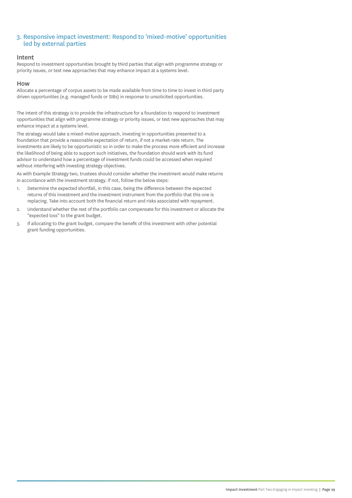#### 3. Responsive impact investment: Respond to 'mixed-motive' opportunities led by external parties

#### Intent

Respond to investment opportunities brought by third parties that align with programme strategy or priority issues, or test new approaches that may enhance impact at a systems level.

#### How

Allocate a percentage of corpus assets to be made available from time to time to invest in third party driven opportunities (e.g. managed funds or SIBs) in response to unsolicited opportunities.

The intent of this strategy is to provide the infrastructure for a foundation to respond to investment opportunities that align with programme strategy or priority issues, or test new approaches that may enhance impact at a systems level.

The strategy would take a mixed-motive approach, investing in opportunities presented to a foundation that provide a reasonable expectation of return, if not a market-rate return. The investments are likely to be opportunistic so in order to make the process more efficient and increase the likelihood of being able to support such initiatives, the foundation should work with its fund advisor to understand how a percentage of investment funds could be accessed when required without interfering with investing strategy objectives.

As with Example Strategy two, trustees should consider whether the investment would make returns in accordance with the investment strategy. If not, follow the below steps:

- 1. Determine the expected shortfall, in this case, being the difference between the expected returns of this investment and the investment instrument from the portfolio that this one is replacing. Take into account both the financial return and risks associated with repayment.
- 2. Understand whether the rest of the portfolio can compensate for this investment or allocate the "expected loss" to the grant budget.
- 3. If allocating to the grant budget, compare the benefit of this investment with other potential grant funding opportunities.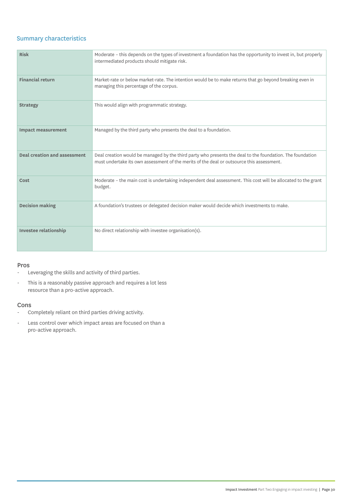#### Summary characteristics

| <b>Risk</b>                         | Moderate - this depends on the types of investment a foundation has the opportunity to invest in, but properly<br>intermediated products should mitigate risk.                                         |
|-------------------------------------|--------------------------------------------------------------------------------------------------------------------------------------------------------------------------------------------------------|
| <b>Financial return</b>             | Market-rate or below market-rate. The intention would be to make returns that go beyond breaking even in<br>managing this percentage of the corpus.                                                    |
| <b>Strategy</b>                     | This would align with programmatic strategy.                                                                                                                                                           |
| <b>Impact measurement</b>           | Managed by the third party who presents the deal to a foundation.                                                                                                                                      |
| <b>Deal creation and assessment</b> | Deal creation would be managed by the third party who presents the deal to the foundation. The foundation<br>must undertake its own assessment of the merits of the deal or outsource this assessment. |
| Cost                                | Moderate - the main cost is undertaking independent deal assessment. This cost will be allocated to the grant<br>budget.                                                                               |
| <b>Decision making</b>              | A foundation's trustees or delegated decision maker would decide which investments to make.                                                                                                            |
| <b>Investee relationship</b>        | No direct relationship with investee organisation(s).                                                                                                                                                  |

#### Pros

- Leveraging the skills and activity of third parties.
- This is a reasonably passive approach and requires a lot less resource than a pro-active approach.

#### Cons

- Completely reliant on third parties driving activity.
- Less control over which impact areas are focused on than a pro-active approach.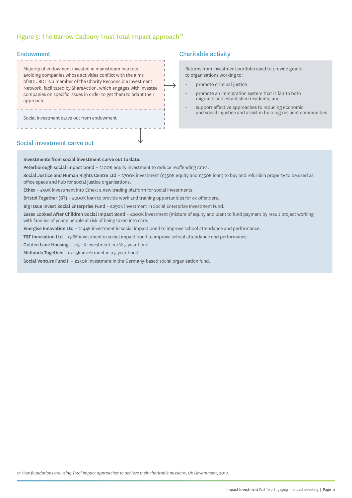#### Figure 5: The Barrow Cadbury Trust Total Impact approach<sup>17</sup>

#### Endowment

| Majority of endowment invested in mainstream markets,<br>avoiding companies whose activities conflict with the aims<br>of BCT. BCT is a member of the Charity Responsible Investment<br>Network, facilitated by ShareAction, which engages with investee<br>companies on specific issues in order to get them to adapt their<br>approach. |  |
|-------------------------------------------------------------------------------------------------------------------------------------------------------------------------------------------------------------------------------------------------------------------------------------------------------------------------------------------|--|
| Social investment carve out from endowment                                                                                                                                                                                                                                                                                                |  |

### Charitable activity

Returns from investment portfolio used to provide grants to organisations working to:

- promote criminal justice
- promote an immigration system that is fair to both migrants and established residents; and
- support effective approaches to reducing economic and social injustice and assist in building resilient communities

#### Social investment carve out

#### **Investments from social investment carve out to date:**

Peterborough social impact bond – £100K equity investment to reduce reoffending rates.

Social Justice and Human Rights Centre Ltd - £700K investment (£350K equity and £350K loan) to buy and refurbish property to be used as office space and hub for social justice organisations.

 $\rightarrow$ 

Ethex – £50K investment into Ethex; a new trading platform for social investments.

Bristol Together (BT) - £200K loan to provide work and training opportunities for ex-offenders.

Big Issue Invest Social Enterprise Fund – £250K investment in Social Enterprise Investment Fund.

Essex Looked After Children Social Impact Bond – £200K investment (mixture of equity and loan) to fund payment by result project working with families of young people at risk of being taken into care.

Energise Innovation Ltd – £144K investment in social impact bond to improve school attendance and performance.

T&T Innovation Ltd - £56K investment in social impact bond to improve school attendance and performance.

Golden Lane Housing – £250K investment in 4% 5 year bond.

Midlands Together – £205K investment in a 5 year bond.

Social Venture Fund II – £250K investment in the Germany-based social organisation fund.

*17 How foundations are using Total Impact approaches to achieve their charitable missions, UK Government, 2014.*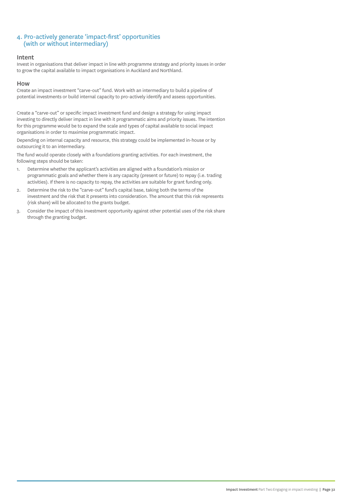#### 4. Pro-actively generate 'impact-first' opportunities (with or without intermediary)

#### Intent

Invest in organisations that deliver impact in line with programme strategy and priority issues in order to grow the capital available to impact organisations in Auckland and Northland.

#### How

Create an impact investment "carve-out" fund. Work with an intermediary to build a pipeline of potential investments or build internal capacity to pro-actively identify and assess opportunities.

Create a "carve-out" or specific impact investment fund and design a strategy for using impact investing to directly deliver impact in line with it programmatic aims and priority issues. The intention for this programme would be to expand the scale and types of capital available to social impact organisations in order to maximise programmatic impact.

Depending on internal capacity and resource, this strategy could be implemented in-house or by outsourcing it to an intermediary.

The fund would operate closely with a foundations granting activities. For each investment, the following steps should be taken:

- 1. Determine whether the applicant's activities are aligned with a foundation's mission or programmatic goals and whether there is any capacity (present or future) to repay (i.e. trading activities). If there is no capacity to repay, the activities are suitable for grant funding only.
- 2. Determine the risk to the "carve-out" fund's capital base, taking both the terms of the investment and the risk that it presents into consideration. The amount that this risk represents (risk share) will be allocated to the grants budget.
- 3. Consider the impact of this investment opportunity against other potential uses of the risk share through the granting budget.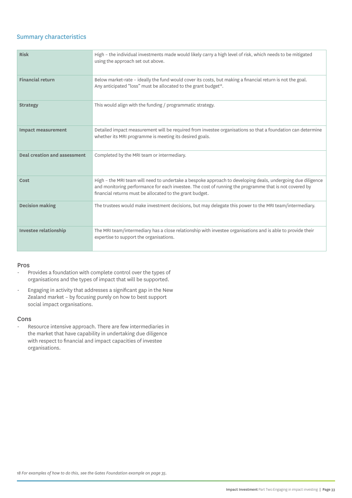#### Summary characteristics

| <b>Risk</b>                         | High – the individual investments made would likely carry a high level of risk, which needs to be mitigated<br>using the approach set out above.                                                                                                                                  |
|-------------------------------------|-----------------------------------------------------------------------------------------------------------------------------------------------------------------------------------------------------------------------------------------------------------------------------------|
| <b>Financial return</b>             | Below market-rate - ideally the fund would cover its costs, but making a financial return is not the goal.<br>Any anticipated "loss" must be allocated to the grant budget <sup>18</sup> .                                                                                        |
| <b>Strategy</b>                     | This would align with the funding / programmatic strategy.                                                                                                                                                                                                                        |
| <b>Impact measurement</b>           | Detailed impact measurement will be required from investee organisations so that a foundation can determine<br>whether its MRI programme is meeting its desired goals.                                                                                                            |
| <b>Deal creation and assessment</b> | Completed by the MRI team or intermediary.                                                                                                                                                                                                                                        |
| Cost                                | High - the MRI team will need to undertake a bespoke approach to developing deals, undergoing due diligence<br>and monitoring performance for each investee. The cost of running the programme that is not covered by<br>financial returns must be allocated to the grant budget. |
| <b>Decision making</b>              | The trustees would make investment decisions, but may delegate this power to the MRI team/intermediary.                                                                                                                                                                           |
| Investee relationship               | The MRI team/intermediary has a close relationship with investee organisations and is able to provide their<br>expertise to support the organisations.                                                                                                                            |

#### Pros

- Provides a foundation with complete control over the types of organisations and the types of impact that will be supported.
- Engaging in activity that addresses a significant gap in the New Zealand market – by focusing purely on how to best support social impact organisations.

#### Cons

- Resource intensive approach. There are few intermediaries in the market that have capability in undertaking due diligence with respect to financial and impact capacities of investee organisations.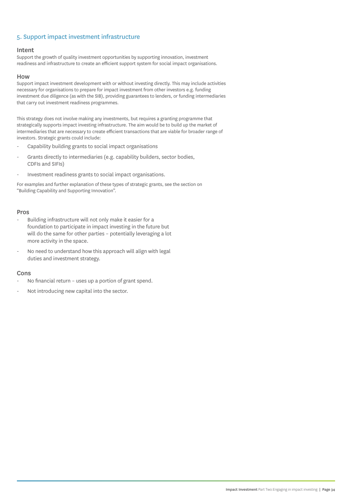#### 5. Support impact investment infrastructure

#### Intent

Support the growth of quality investment opportunities by supporting innovation, investment readiness and infrastructure to create an efficient support system for social impact organisations.

#### How

Support impact investment development with or without investing directly. This may include activities necessary for organisations to prepare for impact investment from other investors e.g. funding investment due diligence (as with the SIB), providing guarantees to lenders, or funding intermediaries that carry out investment readiness programmes.

This strategy does not involve making any investments, but requires a granting programme that strategically supports impact investing infrastructure. The aim would be to build up the market of intermediaries that are necessary to create efficient transactions that are viable for broader range of investors. Strategic grants could include:

- Capability building grants to social impact organisations
- Grants directly to intermediaries (e.g. capability builders, sector bodies, CDFIs and SIFIs)
- Investment readiness grants to social impact organisations.

For examples and further explanation of these types of strategic grants, see the section on "Building Capability and Supporting Innovation".

#### Pros

- Building infrastructure will not only make it easier for a foundation to participate in impact investing in the future but will do the same for other parties – potentially leveraging a lot more activity in the space.
- No need to understand how this approach will align with legal duties and investment strategy.

#### Cons

- No financial return uses up a portion of grant spend.
- Not introducing new capital into the sector.